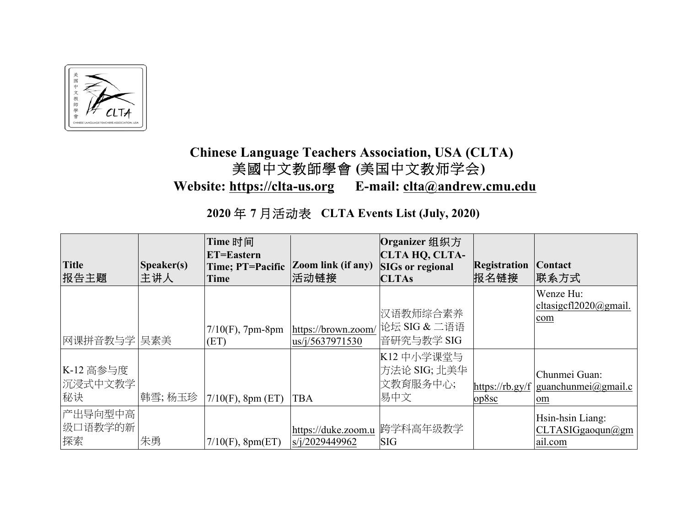

## **Chinese Language Teachers Association, USA (CLTA)** 美國中文教師學會 **(**美国中文教师学会**) Website: https://clta-us.org E-mail: clta@andrew.cmu.edu**

## **2020** 年 **7** 月活动表 **CLTA Events List (July, 2020)**

| <b>Title</b><br>报告主题       | Speaker(s)<br>主讲人 | Time 时间<br><b>ET=Eastern</b><br>Time; PT=Pacific<br><b>Time</b> | <b>Zoom link (if any)</b><br> 活动链接                | Organizer 组织方<br>CLTA HQ, CLTA-<br><b>SIGs or regional</b><br><b>CLTAs</b> | <b>Registration</b><br>报名链接 | Contact<br> 联系方式                                             |
|----------------------------|-------------------|-----------------------------------------------------------------|---------------------------------------------------|----------------------------------------------------------------------------|-----------------------------|--------------------------------------------------------------|
| 网课拼音教与学 吴素美                |                   | $7/10(F)$ , 7pm-8pm<br>(ET)                                     | https://brown.zoom/<br>$\frac{105}{1}/5637971530$ | 汉语教师综合素养<br>论坛 SIG & 二语语<br>音研究与教学 SIG                                     |                             | Wenze Hu:<br>cltasigcfl $2020@$ gmail.<br>com                |
| K-12 高参与度<br>沉浸式中文教学<br>秘诀 | 韩雪; 杨玉珍           | $7/10(F)$ , 8pm (ET)                                            | <b>TBA</b>                                        | K12 中小学课堂与<br>方法论 SIG; 北美华<br>文教育服务中心;<br>易中文                              | op8sc                       | Chunmei Guan:<br>https://rb.gy/f   guanchunmei@gmail.c<br>om |
| 产出导向型中高<br>级口语教学的新<br>探索   | 朱勇                | $7/10(F)$ , 8pm(ET)                                             | https://duke.zoom.u<br>s/i/2029449962             | 跨学科高年级教学<br><b>SIG</b>                                                     |                             | Hsin-hsin Liang:<br>CLTASIGgaoqun@gm<br>ail.com              |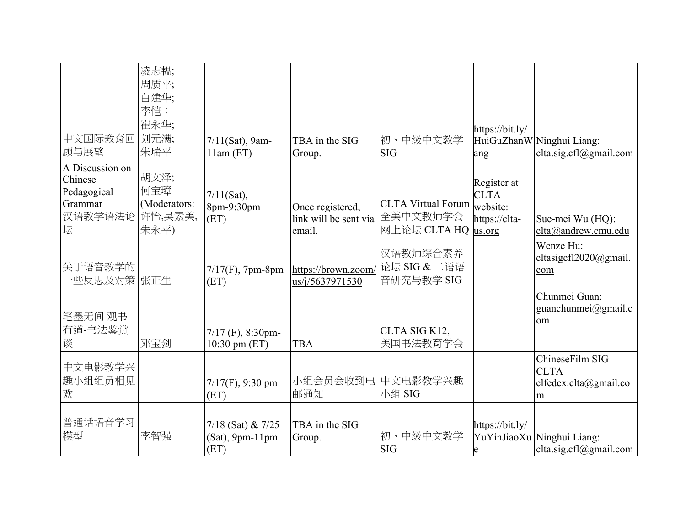| 中文国际教育回<br>顾与展望                                                      | 凌志韫;<br>周质平;<br>白建华;<br>李恺;<br>崔永华;<br>刘元满;<br>朱瑞平 | $7/11(Sat)$ , 9am-<br>$11am$ (ET)                   | TBA in the SIG<br>Group.                            | 初、中级中文教学<br><b>SIG</b>                                       | https://bit.ly/<br>ang                                  | HuiGuZhanW Ninghui Liang:<br>clta.sig.cfl@gmail.com           |
|----------------------------------------------------------------------|----------------------------------------------------|-----------------------------------------------------|-----------------------------------------------------|--------------------------------------------------------------|---------------------------------------------------------|---------------------------------------------------------------|
| A Discussion on<br>Chinese<br>Pedagogical<br>Grammar<br>汉语教学语法论<br>坛 | 胡文泽;<br>何宝璋<br>(Moderators:<br>许怡,吴素美,<br>朱永平)     | $7/11(Sat)$ ,<br>8pm-9:30pm<br>(ET)                 | Once registered,<br>link will be sent via<br>email. | <b>CLTA Virtual Forum</b><br>全美中文教师学会<br>网上论坛 CLTA HQ us.org | Register at<br><b>CLTA</b><br>website:<br>https://clta- | Sue-mei Wu (HQ):<br>clta@andrew.cmu.edu                       |
| 关于语音教学的<br>-些反思及对策  张正生                                              |                                                    | $7/17(F)$ , 7pm-8pm<br>(ET)                         | https://brown.zoom/<br>us/j/5637971530              | 汉语教师综合素养<br>论坛 SIG & 二语语<br>音研究与教学 SIG                       |                                                         | Wenze Hu:<br>cltasigcfl2020@gmail.<br>com                     |
| 笔墨无间 观书<br>有道-书法鉴赏<br>谈                                              | 邓宝剑                                                | $7/17$ (F), 8:30pm-<br>10:30 pm $(ET)$              | <b>TBA</b>                                          | CLTA SIG K12,<br>美国书法教育学会                                    |                                                         | Chunmei Guan:<br>guanchunmei@gmail.c<br>om                    |
| 中文电影教学兴<br>趣小组组员相见<br>欢                                              |                                                    | $7/17(F)$ , 9:30 pm<br>(ET)                         | 小组会员会收到电<br>邮通知                                     | 中文电影教学兴趣<br>小组 SIG                                           |                                                         | ChineseFilm SIG-<br><b>CLTA</b><br>clfedex.clta@gmail.co<br>m |
| 普通话语音学习<br>模型                                                        | 李智强                                                | $7/18$ (Sat) & $7/25$<br>$(Sat)$ , 9pm-11pm<br>(ET) | TBA in the SIG<br>Group.                            | 初、中级中文教学<br><b>SIG</b>                                       | https://bit.ly/                                         | YuYinJiaoXu Ninghui Liang:<br>clta.sig.cfl $@g$ mail.com      |